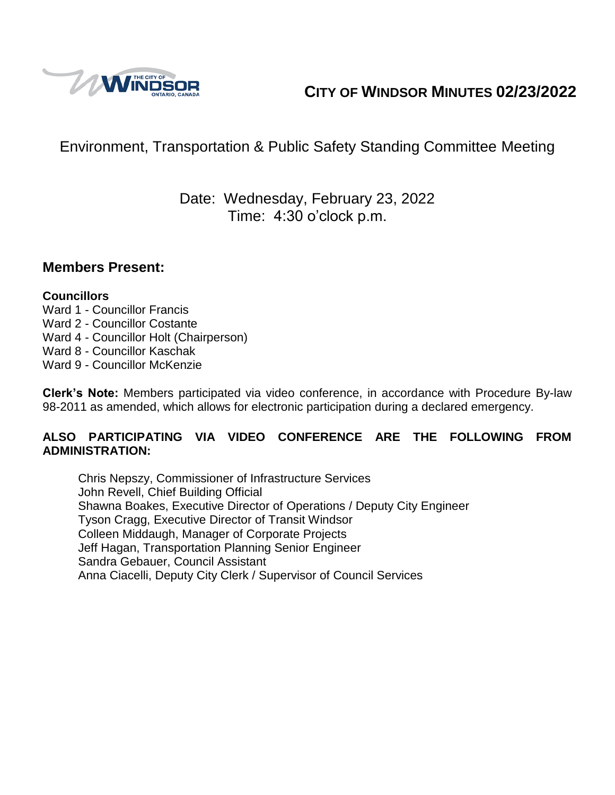

# **CITY OF WINDSOR MINUTES 02/23/2022**

# Environment, Transportation & Public Safety Standing Committee Meeting

# Date: Wednesday, February 23, 2022 Time: 4:30 o'clock p.m.

#### **Members Present:**

#### **Councillors**

- Ward 1 Councillor Francis
- Ward 2 Councillor Costante
- Ward 4 Councillor Holt (Chairperson)
- Ward 8 Councillor Kaschak
- Ward 9 Councillor McKenzie

**Clerk's Note:** Members participated via video conference, in accordance with Procedure By-law 98-2011 as amended, which allows for electronic participation during a declared emergency.

#### **ALSO PARTICIPATING VIA VIDEO CONFERENCE ARE THE FOLLOWING FROM ADMINISTRATION:**

Chris Nepszy, Commissioner of Infrastructure Services John Revell, Chief Building Official Shawna Boakes, Executive Director of Operations / Deputy City Engineer Tyson Cragg, Executive Director of Transit Windsor Colleen Middaugh, Manager of Corporate Projects Jeff Hagan, Transportation Planning Senior Engineer Sandra Gebauer, Council Assistant Anna Ciacelli, Deputy City Clerk / Supervisor of Council Services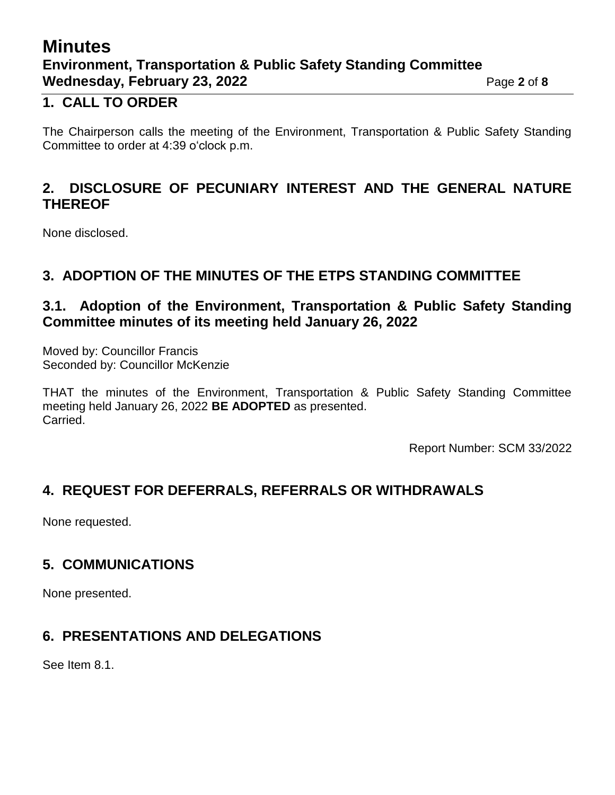# **Minutes Environment, Transportation & Public Safety Standing Committee Wednesday, February 23, 2022** Page 2 of 8

## **1. CALL TO ORDER**

The Chairperson calls the meeting of the Environment, Transportation & Public Safety Standing Committee to order at 4:39 o'clock p.m.

## **2. DISCLOSURE OF PECUNIARY INTEREST AND THE GENERAL NATURE THEREOF**

None disclosed.

## **3. ADOPTION OF THE MINUTES OF THE ETPS STANDING COMMITTEE**

## **3.1. Adoption of the Environment, Transportation & Public Safety Standing Committee minutes of its meeting held January 26, 2022**

Moved by: Councillor Francis Seconded by: Councillor McKenzie

THAT the minutes of the Environment, Transportation & Public Safety Standing Committee meeting held January 26, 2022 **BE ADOPTED** as presented. Carried.

Report Number: SCM 33/2022

## **4. REQUEST FOR DEFERRALS, REFERRALS OR WITHDRAWALS**

None requested.

## **5. COMMUNICATIONS**

None presented.

## **6. PRESENTATIONS AND DELEGATIONS**

See Item 8.1.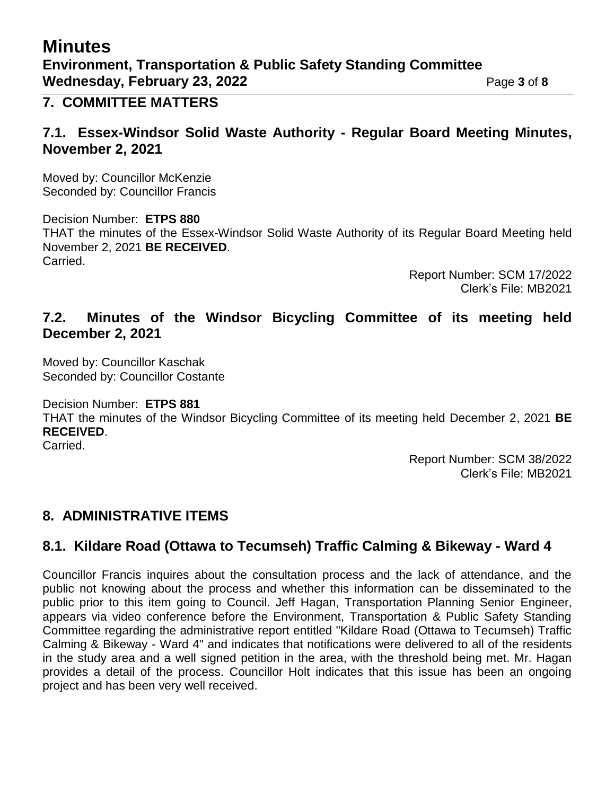# **Minutes Environment, Transportation & Public Safety Standing Committee Wednesday, February 23, 2022** Page 3 of 8

#### **7. COMMITTEE MATTERS**

#### **7.1. Essex-Windsor Solid Waste Authority - Regular Board Meeting Minutes, November 2, 2021**

Moved by: Councillor McKenzie Seconded by: Councillor Francis

Decision Number: **ETPS 880** THAT the minutes of the Essex-Windsor Solid Waste Authority of its Regular Board Meeting held November 2, 2021 **BE RECEIVED**. Carried.

> Report Number: SCM 17/2022 Clerk's File: MB2021

#### **7.2. Minutes of the Windsor Bicycling Committee of its meeting held December 2, 2021**

Moved by: Councillor Kaschak Seconded by: Councillor Costante

Decision Number: **ETPS 881**

THAT the minutes of the Windsor Bicycling Committee of its meeting held December 2, 2021 **BE RECEIVED**.

Carried.

Report Number: SCM 38/2022 Clerk's File: MB2021

## **8. ADMINISTRATIVE ITEMS**

## **8.1. Kildare Road (Ottawa to Tecumseh) Traffic Calming & Bikeway - Ward 4**

Councillor Francis inquires about the consultation process and the lack of attendance, and the public not knowing about the process and whether this information can be disseminated to the public prior to this item going to Council. Jeff Hagan, Transportation Planning Senior Engineer, appears via video conference before the Environment, Transportation & Public Safety Standing Committee regarding the administrative report entitled "Kildare Road (Ottawa to Tecumseh) Traffic Calming & Bikeway - Ward 4" and indicates that notifications were delivered to all of the residents in the study area and a well signed petition in the area, with the threshold being met. Mr. Hagan provides a detail of the process. Councillor Holt indicates that this issue has been an ongoing project and has been very well received.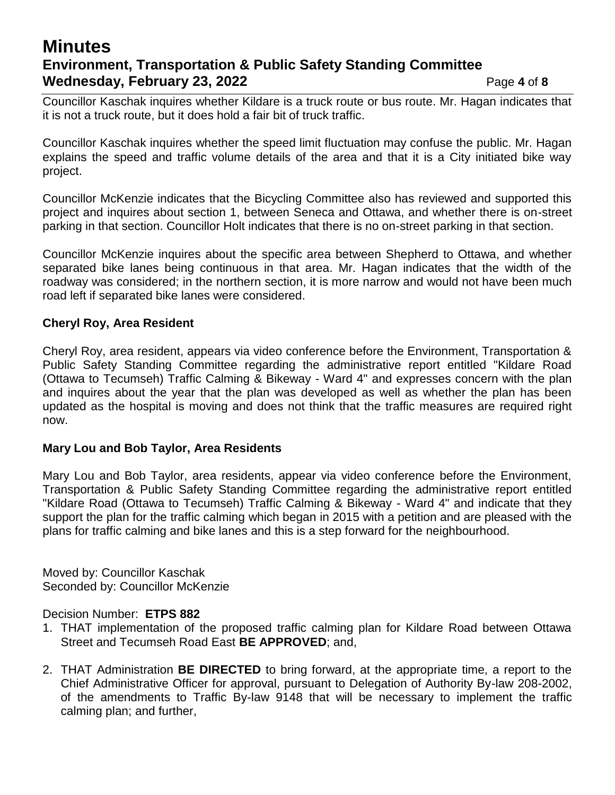# **Minutes Environment, Transportation & Public Safety Standing Committee Wednesday, February 23, 2022** Page 4 of 8

Councillor Kaschak inquires whether Kildare is a truck route or bus route. Mr. Hagan indicates that it is not a truck route, but it does hold a fair bit of truck traffic.

Councillor Kaschak inquires whether the speed limit fluctuation may confuse the public. Mr. Hagan explains the speed and traffic volume details of the area and that it is a City initiated bike way project.

Councillor McKenzie indicates that the Bicycling Committee also has reviewed and supported this project and inquires about section 1, between Seneca and Ottawa, and whether there is on-street parking in that section. Councillor Holt indicates that there is no on-street parking in that section.

Councillor McKenzie inquires about the specific area between Shepherd to Ottawa, and whether separated bike lanes being continuous in that area. Mr. Hagan indicates that the width of the roadway was considered; in the northern section, it is more narrow and would not have been much road left if separated bike lanes were considered.

#### **Cheryl Roy, Area Resident**

Cheryl Roy, area resident, appears via video conference before the Environment, Transportation & Public Safety Standing Committee regarding the administrative report entitled "Kildare Road (Ottawa to Tecumseh) Traffic Calming & Bikeway - Ward 4" and expresses concern with the plan and inquires about the year that the plan was developed as well as whether the plan has been updated as the hospital is moving and does not think that the traffic measures are required right now.

#### **Mary Lou and Bob Taylor, Area Residents**

Mary Lou and Bob Taylor, area residents, appear via video conference before the Environment, Transportation & Public Safety Standing Committee regarding the administrative report entitled "Kildare Road (Ottawa to Tecumseh) Traffic Calming & Bikeway - Ward 4" and indicate that they support the plan for the traffic calming which began in 2015 with a petition and are pleased with the plans for traffic calming and bike lanes and this is a step forward for the neighbourhood.

Moved by: Councillor Kaschak Seconded by: Councillor McKenzie

#### Decision Number: **ETPS 882**

- 1. THAT implementation of the proposed traffic calming plan for Kildare Road between Ottawa Street and Tecumseh Road East **BE APPROVED**; and,
- 2. THAT Administration **BE DIRECTED** to bring forward, at the appropriate time, a report to the Chief Administrative Officer for approval, pursuant to Delegation of Authority By-law 208-2002, of the amendments to Traffic By-law 9148 that will be necessary to implement the traffic calming plan; and further,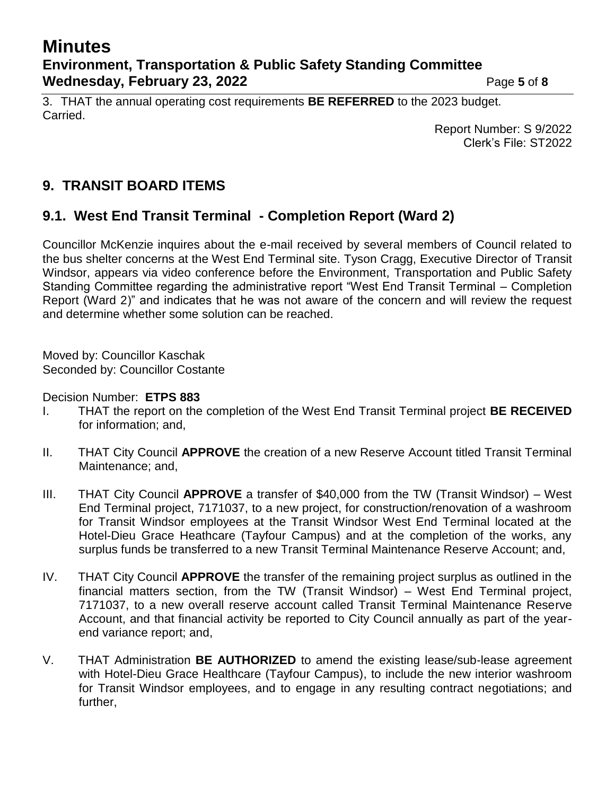# **Minutes Environment, Transportation & Public Safety Standing Committee Wednesday, February 23, 2022** Page 5 of 8

3. THAT the annual operating cost requirements **BE REFERRED** to the 2023 budget. Carried.

Report Number: S 9/2022 Clerk's File: ST2022

# **9. TRANSIT BOARD ITEMS**

## **9.1. West End Transit Terminal - Completion Report (Ward 2)**

Councillor McKenzie inquires about the e-mail received by several members of Council related to the bus shelter concerns at the West End Terminal site. Tyson Cragg, Executive Director of Transit Windsor, appears via video conference before the Environment, Transportation and Public Safety Standing Committee regarding the administrative report "West End Transit Terminal – Completion Report (Ward 2)" and indicates that he was not aware of the concern and will review the request and determine whether some solution can be reached.

Moved by: Councillor Kaschak Seconded by: Councillor Costante

Decision Number: **ETPS 883**

- I. THAT the report on the completion of the West End Transit Terminal project **BE RECEIVED** for information; and,
- II. THAT City Council **APPROVE** the creation of a new Reserve Account titled Transit Terminal Maintenance; and,
- III. THAT City Council **APPROVE** a transfer of \$40,000 from the TW (Transit Windsor) West End Terminal project, 7171037, to a new project, for construction/renovation of a washroom for Transit Windsor employees at the Transit Windsor West End Terminal located at the Hotel-Dieu Grace Heathcare (Tayfour Campus) and at the completion of the works, any surplus funds be transferred to a new Transit Terminal Maintenance Reserve Account; and,
- IV. THAT City Council **APPROVE** the transfer of the remaining project surplus as outlined in the financial matters section, from the TW (Transit Windsor) – West End Terminal project, 7171037, to a new overall reserve account called Transit Terminal Maintenance Reserve Account, and that financial activity be reported to City Council annually as part of the yearend variance report; and,
- V. THAT Administration **BE AUTHORIZED** to amend the existing lease/sub-lease agreement with Hotel-Dieu Grace Healthcare (Tayfour Campus), to include the new interior washroom for Transit Windsor employees, and to engage in any resulting contract negotiations; and further,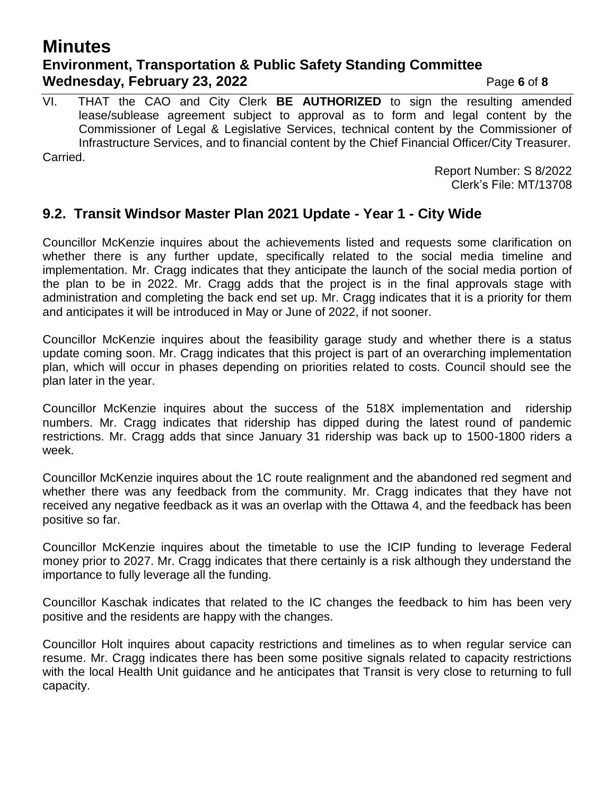# **Minutes Environment, Transportation & Public Safety Standing Committee Wednesday, February 23, 2022** Page 6 of 8

VI. THAT the CAO and City Clerk **BE AUTHORIZED** to sign the resulting amended lease/sublease agreement subject to approval as to form and legal content by the Commissioner of Legal & Legislative Services, technical content by the Commissioner of Infrastructure Services, and to financial content by the Chief Financial Officer/City Treasurer. Carried.

> Report Number: S 8/2022 Clerk's File: MT/13708

#### **9.2. Transit Windsor Master Plan 2021 Update - Year 1 - City Wide**

Councillor McKenzie inquires about the achievements listed and requests some clarification on whether there is any further update, specifically related to the social media timeline and implementation. Mr. Cragg indicates that they anticipate the launch of the social media portion of the plan to be in 2022. Mr. Cragg adds that the project is in the final approvals stage with administration and completing the back end set up. Mr. Cragg indicates that it is a priority for them and anticipates it will be introduced in May or June of 2022, if not sooner.

Councillor McKenzie inquires about the feasibility garage study and whether there is a status update coming soon. Mr. Cragg indicates that this project is part of an overarching implementation plan, which will occur in phases depending on priorities related to costs. Council should see the plan later in the year.

Councillor McKenzie inquires about the success of the 518X implementation and ridership numbers. Mr. Cragg indicates that ridership has dipped during the latest round of pandemic restrictions. Mr. Cragg adds that since January 31 ridership was back up to 1500-1800 riders a week.

Councillor McKenzie inquires about the 1C route realignment and the abandoned red segment and whether there was any feedback from the community. Mr. Cragg indicates that they have not received any negative feedback as it was an overlap with the Ottawa 4, and the feedback has been positive so far.

Councillor McKenzie inquires about the timetable to use the ICIP funding to leverage Federal money prior to 2027. Mr. Cragg indicates that there certainly is a risk although they understand the importance to fully leverage all the funding.

Councillor Kaschak indicates that related to the IC changes the feedback to him has been very positive and the residents are happy with the changes.

Councillor Holt inquires about capacity restrictions and timelines as to when regular service can resume. Mr. Cragg indicates there has been some positive signals related to capacity restrictions with the local Health Unit guidance and he anticipates that Transit is very close to returning to full capacity.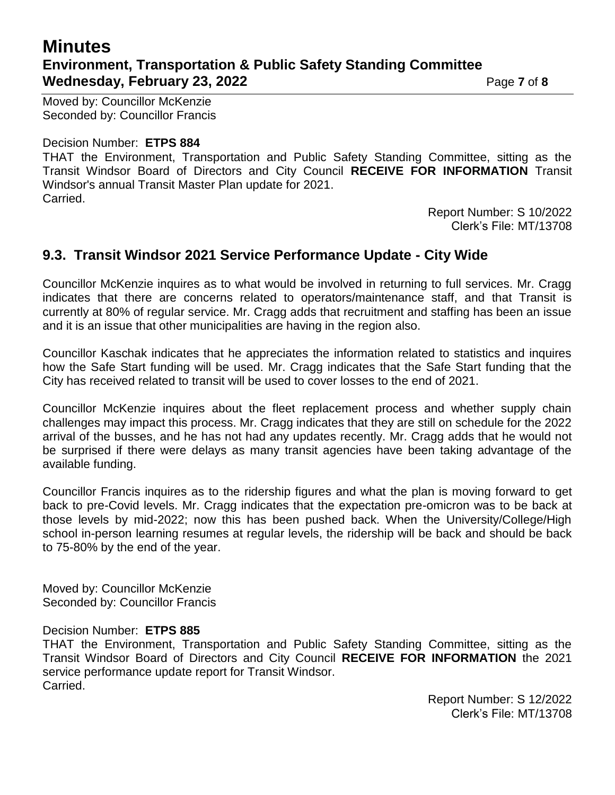# **Minutes Environment, Transportation & Public Safety Standing Committee Wednesday, February 23, 2022** Page 7 of 8

Moved by: Councillor McKenzie Seconded by: Councillor Francis

#### Decision Number: **ETPS 884**

THAT the Environment, Transportation and Public Safety Standing Committee, sitting as the Transit Windsor Board of Directors and City Council **RECEIVE FOR INFORMATION** Transit Windsor's annual Transit Master Plan update for 2021. Carried.

> Report Number: S 10/2022 Clerk's File: MT/13708

## **9.3. Transit Windsor 2021 Service Performance Update - City Wide**

Councillor McKenzie inquires as to what would be involved in returning to full services. Mr. Cragg indicates that there are concerns related to operators/maintenance staff, and that Transit is currently at 80% of regular service. Mr. Cragg adds that recruitment and staffing has been an issue and it is an issue that other municipalities are having in the region also.

Councillor Kaschak indicates that he appreciates the information related to statistics and inquires how the Safe Start funding will be used. Mr. Cragg indicates that the Safe Start funding that the City has received related to transit will be used to cover losses to the end of 2021.

Councillor McKenzie inquires about the fleet replacement process and whether supply chain challenges may impact this process. Mr. Cragg indicates that they are still on schedule for the 2022 arrival of the busses, and he has not had any updates recently. Mr. Cragg adds that he would not be surprised if there were delays as many transit agencies have been taking advantage of the available funding.

Councillor Francis inquires as to the ridership figures and what the plan is moving forward to get back to pre-Covid levels. Mr. Cragg indicates that the expectation pre-omicron was to be back at those levels by mid-2022; now this has been pushed back. When the University/College/High school in-person learning resumes at regular levels, the ridership will be back and should be back to 75-80% by the end of the year.

Moved by: Councillor McKenzie Seconded by: Councillor Francis

#### Decision Number: **ETPS 885**

THAT the Environment, Transportation and Public Safety Standing Committee, sitting as the Transit Windsor Board of Directors and City Council **RECEIVE FOR INFORMATION** the 2021 service performance update report for Transit Windsor. Carried.

> Report Number: S 12/2022 Clerk's File: MT/13708